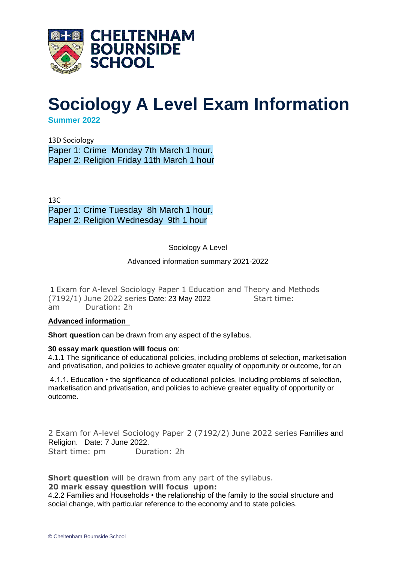

## **Sociology A Level Exam Information**

**Summer 2022**

13D Sociology Paper 1: Crime Monday 7th March 1 hour. Paper 2: Religion Friday 11th March 1 hour

 $13C$ Paper 1: Crime Tuesday 8h March 1 hour. Paper 2: Religion Wednesday 9th 1 hour

Sociology A Level

## Advanced information summary 2021-2022

1 Exam for A-level Sociology Paper 1 Education and Theory and Methods (7192/1) June 2022 series Date: 23 May 2022 Start time: am Duration: 2h

## **Advanced information**

**Short question** can be drawn from any aspect of the syllabus.

## **30 essay mark question will focus on**:

4.1.1 The significance of educational policies, including problems of selection, marketisation and privatisation, and policies to achieve greater equality of opportunity or outcome, for an

4.1.1. Education • the significance of educational policies, including problems of selection, marketisation and privatisation, and policies to achieve greater equality of opportunity or outcome.

2 Exam for A-level Sociology Paper 2 (7192/2) June 2022 series Families and Religion. Date: 7 June 2022. Start time: pm Duration: 2h

**Short question** will be drawn from any part of the syllabus.

**20 mark essay question will focus upon:**

4.2.2 Families and Households • the relationship of the family to the social structure and social change, with particular reference to the economy and to state policies.